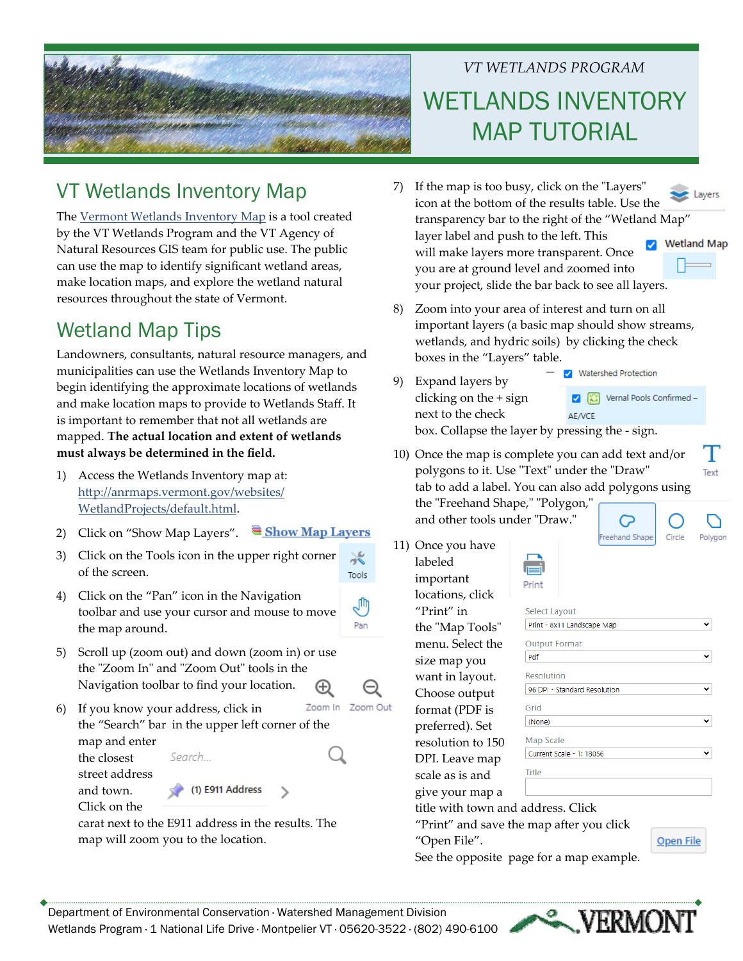

## *VT WETLANDS PROGRAM* WETLANDS INVENTORY MAP TUTORIAL

## VT Wetlands Inventory Map

The Vermont Wetlands [Inventory](http://anrmaps.vermont.gov/websites/WetlandProjects/default.html) Map is a tool created by the VT Wetlands Program and the VT Agency of Natural Resources GIS team for public use. The public can use the map to identify significant wetland areas, make location maps, and explore the wetland natural resources throughout the state of Vermont.

## Wetland Map Tips

Landowners, consultants, natural resource managers, and municipalities can use the Wetlands Inventory Map to begin identifying the approximate locations of wetlands and make location maps to provide to Wetlands Staff. It is important to remember that not all wetlands are mapped. **The actual location and extent of wetlands must always be determined in the field.**

- 1) Access the Wetlands Inventory map at: htt[p://anrmaps.vermont.gov/websites/](http://anrmaps.vermont.gov/websites/WetlandProjects/default.html) [WetlandProjects/default.html](http://anrmaps.vermont.gov/websites/WetlandProjects/default.html).
- 2) Click on "Show Map Layers".  $\overline{\bullet}$  Show Map Layers
- 3) Click on the Tools icon in the upper right corner  $\geqslant$ of the screen. Tools
- 4) Click on the "Pan" icon in the Navigation ê toolbar and use your cursor and mouse to move Pan the map around.
- 5) Scroll up (zoom out) and down (zoom in) or use the "Zoom In" and "Zoom Out" tools in the Navigation toolbar to find your location.  $^\oplus$
- Zoom In Zoom Out 6) If you know your address, click in the "Search" bar in the upper left corner of the map and enter the closest Search...

street address and town. Click on the

carat next to the E911 address in the results. The map will zoom you to the location.

 $\leq$  (1) E911 Address

- 7) If the map is too busy, click on the "Layers"  $\triangle$  Layers icon at the bottom of the results table. Use the transparency bar to the right of the "Wetland Map" layer label and push to the left. This **V** Wetland Map will make layers more transparent. Once you are at ground level and zoomed into your project, slide the bar back to see all layers.
- 8) Zoom into your area of interest and turn on all important layers (a basic map should show streams, wetlands, and hydric soils) by clicking the check boxes in the "Layers" table.
- V Watershed Protection 9) Expand layers by Vernal Pools Confirmed clicking on the + sign next to the check AE/VCE

box. Collapse the layer by pressing the ‐ sign.

10) Once the map is complete you can add text and/or polygons to it. Use "Text" under the "Draw" tab to add a label. You can also add polygons using the "Freehand Shape," "Polygon,"

and other tools under "Draw."

11) Once you have labeled important locations, click "Print" in the "Map Tools" menu. Select the size map you want in layout. Choose output format (PDF is preferred). Set resolution to 150 DPI. Leave map scale as is and give your map a

| E<br>г |  |
|--------|--|

| Select Layout                |  |
|------------------------------|--|
| Print - 8x11 Landscape Map   |  |
| <b>Output Format</b>         |  |
| Pdf                          |  |
| Resolution                   |  |
| 96 DPI - Standard Resolution |  |
| Grid                         |  |
| (None)                       |  |
| Map Scale                    |  |
| Current Scale - 1: 18056     |  |
| <b>Title</b>                 |  |
|                              |  |
|                              |  |

Q Freehand Shape

title with town and address. Click

"Print" and save the map after you click "Open File".

See the opposite page for a map example.







Open File

Text

Polygor

Circle